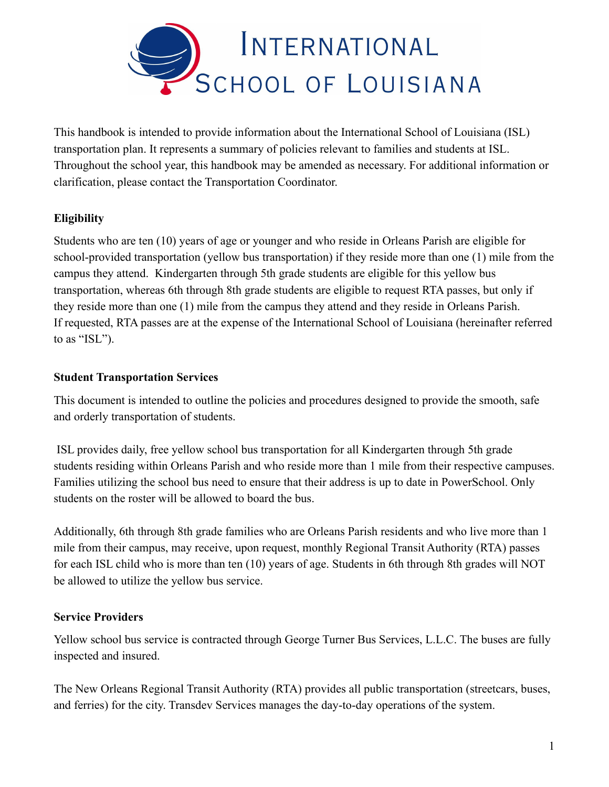

This handbook is intended to provide information about the International School of Louisiana (ISL) transportation plan. It represents a summary of policies relevant to families and students at ISL. Throughout the school year, this handbook may be amended as necessary. For additional information or clarification, please contact the Transportation Coordinator.

# **Eligibility**

Students who are ten (10) years of age or younger and who reside in Orleans Parish are eligible for school-provided transportation (yellow bus transportation) if they reside more than one (1) mile from the campus they attend. Kindergarten through 5th grade students are eligible for this yellow bus transportation, whereas 6th through 8th grade students are eligible to request RTA passes, but only if they reside more than one (1) mile from the campus they attend and they reside in Orleans Parish. If requested, RTA passes are at the expense of the International School of Louisiana (hereinafter referred to as "ISL").

#### **Student Transportation Services**

This document is intended to outline the policies and procedures designed to provide the smooth, safe and orderly transportation of students.

ISL provides daily, free yellow school bus transportation for all Kindergarten through 5th grade students residing within Orleans Parish and who reside more than 1 mile from their respective campuses. Families utilizing the school bus need to ensure that their address is up to date in PowerSchool. Only students on the roster will be allowed to board the bus.

Additionally, 6th through 8th grade families who are Orleans Parish residents and who live more than 1 mile from their campus, may receive, upon request, monthly Regional Transit Authority (RTA) passes for each ISL child who is more than ten (10) years of age. Students in 6th through 8th grades will NOT be allowed to utilize the yellow bus service.

## **Service Providers**

Yellow school bus service is contracted through George Turner Bus Services, L.L.C. The buses are fully inspected and insured.

The New Orleans Regional Transit Authority (RTA) provides all public transportation (streetcars, buses, and ferries) for the city. Transdev Services manages the day-to-day operations of the system.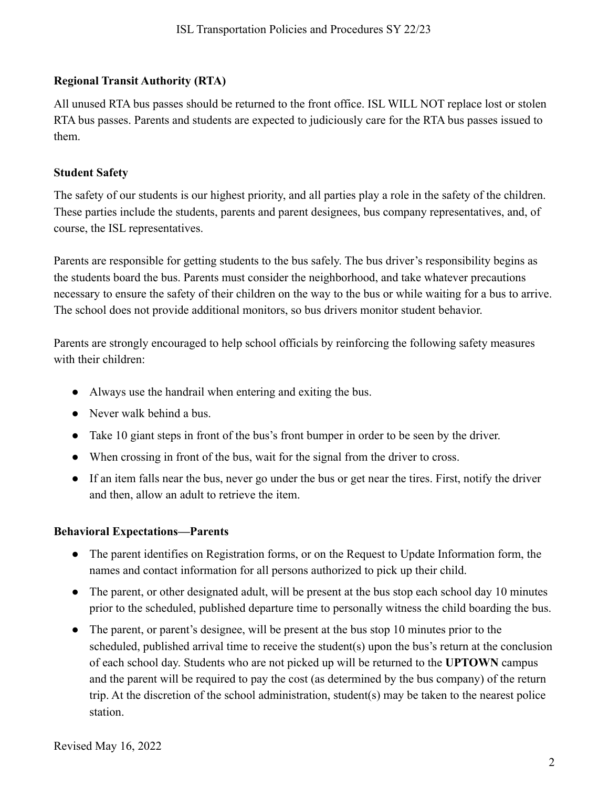## **Regional Transit Authority (RTA)**

All unused RTA bus passes should be returned to the front office. ISL WILL NOT replace lost or stolen RTA bus passes. Parents and students are expected to judiciously care for the RTA bus passes issued to them.

#### **Student Safety**

The safety of our students is our highest priority, and all parties play a role in the safety of the children. These parties include the students, parents and parent designees, bus company representatives, and, of course, the ISL representatives.

Parents are responsible for getting students to the bus safely. The bus driver's responsibility begins as the students board the bus. Parents must consider the neighborhood, and take whatever precautions necessary to ensure the safety of their children on the way to the bus or while waiting for a bus to arrive. The school does not provide additional monitors, so bus drivers monitor student behavior.

Parents are strongly encouraged to help school officials by reinforcing the following safety measures with their children:

- Always use the handrail when entering and exiting the bus.
- Never walk behind a bus.
- Take 10 giant steps in front of the bus's front bumper in order to be seen by the driver.
- When crossing in front of the bus, wait for the signal from the driver to cross.
- If an item falls near the bus, never go under the bus or get near the tires. First, notify the driver and then, allow an adult to retrieve the item.

## **Behavioral Expectations—Parents**

- The parent identifies on Registration forms, or on the Request to Update Information form, the names and contact information for all persons authorized to pick up their child.
- The parent, or other designated adult, will be present at the bus stop each school day 10 minutes prior to the scheduled, published departure time to personally witness the child boarding the bus.
- The parent, or parent's designee, will be present at the bus stop 10 minutes prior to the scheduled, published arrival time to receive the student(s) upon the bus's return at the conclusion of each school day. Students who are not picked up will be returned to the **UPTOWN** campus and the parent will be required to pay the cost (as determined by the bus company) of the return trip. At the discretion of the school administration, student(s) may be taken to the nearest police station.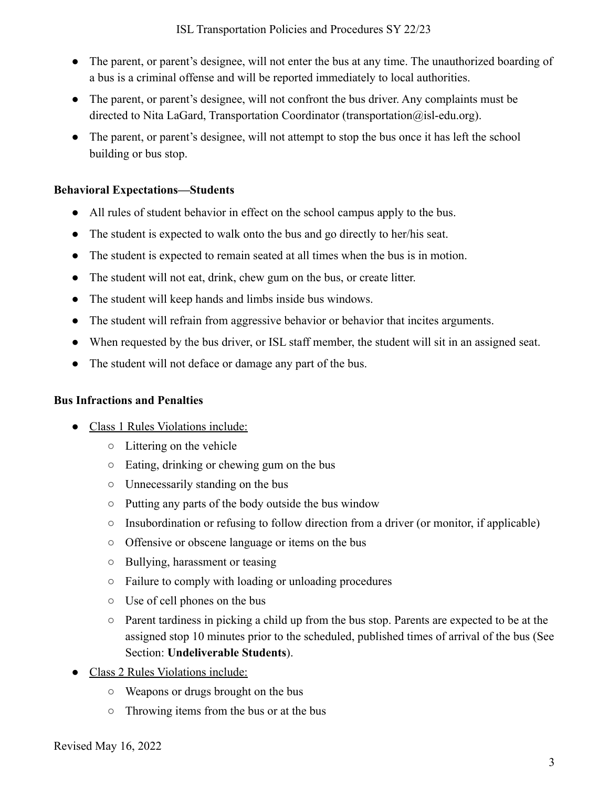- The parent, or parent's designee, will not enter the bus at any time. The unauthorized boarding of a bus is a criminal offense and will be reported immediately to local authorities.
- The parent, or parent's designee, will not confront the bus driver. Any complaints must be directed to Nita LaGard, Transportation Coordinator (transportation@isl-edu.org).
- The parent, or parent's designee, will not attempt to stop the bus once it has left the school building or bus stop.

#### **Behavioral Expectations—Students**

- All rules of student behavior in effect on the school campus apply to the bus.
- The student is expected to walk onto the bus and go directly to her/his seat.
- The student is expected to remain seated at all times when the bus is in motion.
- The student will not eat, drink, chew gum on the bus, or create litter.
- The student will keep hands and limbs inside bus windows.
- The student will refrain from aggressive behavior or behavior that incites arguments.
- When requested by the bus driver, or ISL staff member, the student will sit in an assigned seat.
- The student will not deface or damage any part of the bus.

#### **Bus Infractions and Penalties**

- Class 1 Rules Violations include:
	- Littering on the vehicle
	- Eating, drinking or chewing gum on the bus
	- Unnecessarily standing on the bus
	- Putting any parts of the body outside the bus window
	- Insubordination or refusing to follow direction from a driver (or monitor, if applicable)
	- Offensive or obscene language or items on the bus
	- Bullying, harassment or teasing
	- Failure to comply with loading or unloading procedures
	- Use of cell phones on the bus
	- $\circ$  Parent tardiness in picking a child up from the bus stop. Parents are expected to be at the assigned stop 10 minutes prior to the scheduled, published times of arrival of the bus (See Section: **Undeliverable Students**).
- Class 2 Rules Violations include:
	- Weapons or drugs brought on the bus
	- Throwing items from the bus or at the bus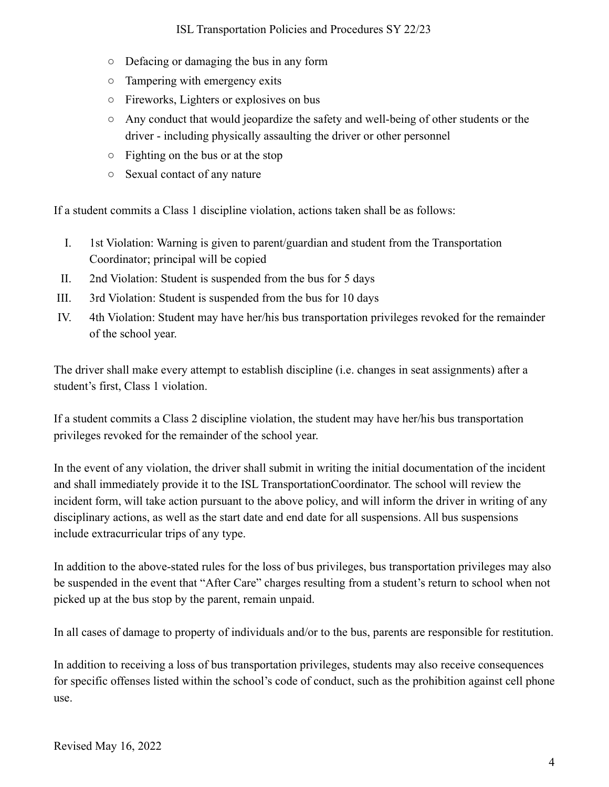- Defacing or damaging the bus in any form
- Tampering with emergency exits
- Fireworks, Lighters or explosives on bus
- Any conduct that would jeopardize the safety and well-being of other students or the driver - including physically assaulting the driver or other personnel
- Fighting on the bus or at the stop
- Sexual contact of any nature

If a student commits a Class 1 discipline violation, actions taken shall be as follows:

- I. 1st Violation: Warning is given to parent/guardian and student from the Transportation Coordinator; principal will be copied
- II. 2nd Violation: Student is suspended from the bus for 5 days
- III. 3rd Violation: Student is suspended from the bus for 10 days
- IV. 4th Violation: Student may have her/his bus transportation privileges revoked for the remainder of the school year.

The driver shall make every attempt to establish discipline (i.e. changes in seat assignments) after a student's first, Class 1 violation.

If a student commits a Class 2 discipline violation, the student may have her/his bus transportation privileges revoked for the remainder of the school year.

In the event of any violation, the driver shall submit in writing the initial documentation of the incident and shall immediately provide it to the ISL TransportationCoordinator. The school will review the incident form, will take action pursuant to the above policy, and will inform the driver in writing of any disciplinary actions, as well as the start date and end date for all suspensions. All bus suspensions include extracurricular trips of any type.

In addition to the above-stated rules for the loss of bus privileges, bus transportation privileges may also be suspended in the event that "After Care" charges resulting from a student's return to school when not picked up at the bus stop by the parent, remain unpaid.

In all cases of damage to property of individuals and/or to the bus, parents are responsible for restitution.

In addition to receiving a loss of bus transportation privileges, students may also receive consequences for specific offenses listed within the school's code of conduct, such as the prohibition against cell phone use.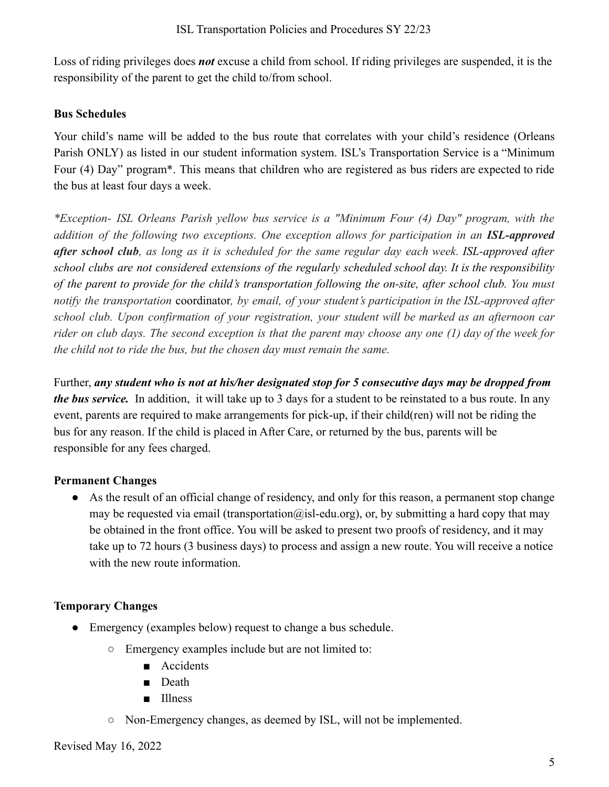Loss of riding privileges does *not* excuse a child from school. If riding privileges are suspended, it is the responsibility of the parent to get the child to/from school.

## **Bus Schedules**

Your child's name will be added to the bus route that correlates with your child's residence (Orleans Parish ONLY) as listed in our student information system. ISL's Transportation Service is a "Minimum Four (4) Day" program\*. This means that children who are registered as bus riders are expected to ride the bus at least four days a week.

*\*Exception- ISL Orleans Parish yellow bus service is a "Minimum Four (4) Day" program, with the addition of the following two exceptions. One exception allows for participation in an ISL-approved* after school club, as long as it is scheduled for the same regular day each week. ISL-approved after *school clubs are not considered extensions of the regularly scheduled school day. It is the responsibility* of the parent to provide for the child's transportation following the on-site, after school club. You must *notify the transportation* coordinator*, by email, of your student's participation in the ISL-approved after school club. Upon confirmation of your registration, your student will be marked as an afternoon car* rider on club days. The second exception is that the parent may choose any one  $(1)$  day of the week for *the child not to ride the bus, but the chosen day must remain the same.*

Further, *any student who is not at his/her designated stop for 5 consecutive days may be dropped from the bus service.* In addition, it will take up to 3 days for a student to be reinstated to a bus route. In any event, parents are required to make arrangements for pick-up, if their child(ren) will not be riding the bus for any reason. If the child is placed in After Care, or returned by the bus, parents will be responsible for any fees charged.

## **Permanent Changes**

● As the result of an official change of residency, and only for this reason, a permanent stop change may be requested via email (transportation@isl-edu.org), or, by submitting a hard copy that may be obtained in the front office. You will be asked to present two proofs of residency, and it may take up to 72 hours (3 business days) to process and assign a new route. You will receive a notice with the new route information

## **Temporary Changes**

- Emergency (examples below) request to change a bus schedule.
	- Emergency examples include but are not limited to:
		- Accidents
		- Death
		- Illness
	- Non-Emergency changes, as deemed by ISL, will not be implemented.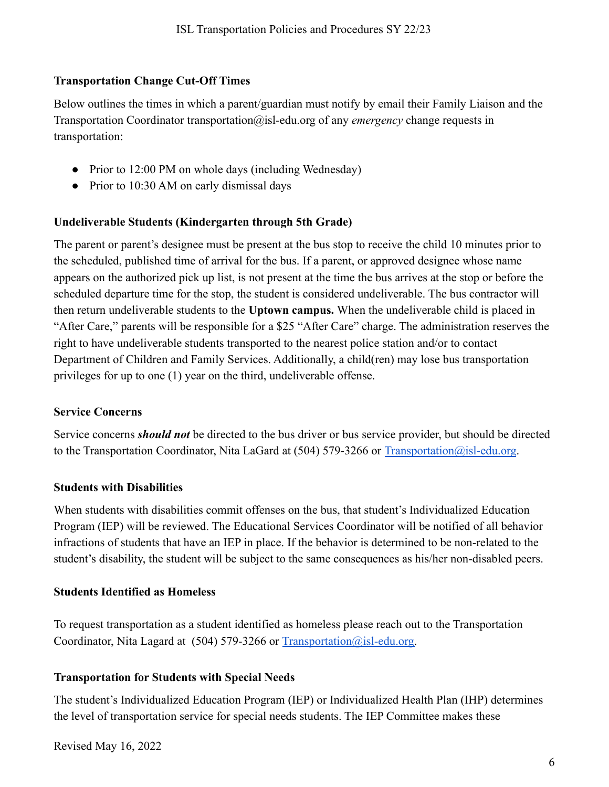## **Transportation Change Cut-Off Times**

Below outlines the times in which a parent/guardian must notify by email their Family Liaison and the Transportation Coordinator transportation@isl-edu.org of any *emergency* change requests in transportation:

- Prior to 12:00 PM on whole days (including Wednesday)
- Prior to 10:30 AM on early dismissal days

# **Undeliverable Students (Kindergarten through 5th Grade)**

The parent or parent's designee must be present at the bus stop to receive the child 10 minutes prior to the scheduled, published time of arrival for the bus. If a parent, or approved designee whose name appears on the authorized pick up list, is not present at the time the bus arrives at the stop or before the scheduled departure time for the stop, the student is considered undeliverable. The bus contractor will then return undeliverable students to the **Uptown campus.** When the undeliverable child is placed in "After Care," parents will be responsible for a \$25 "After Care" charge. The administration reserves the right to have undeliverable students transported to the nearest police station and/or to contact Department of Children and Family Services. Additionally, a child(ren) may lose bus transportation privileges for up to one (1) year on the third, undeliverable offense.

## **Service Concerns**

Service concerns *should not* be directed to the bus driver or bus service provider, but should be directed to the Transportation Coordinator, Nita LaGard at (504) 579-3266 or [Transportation@isl-edu.org](mailto:Transportation@isl-edu.org).

## **Students with Disabilities**

When students with disabilities commit offenses on the bus, that student's Individualized Education Program (IEP) will be reviewed. The Educational Services Coordinator will be notified of all behavior infractions of students that have an IEP in place. If the behavior is determined to be non-related to the student's disability, the student will be subject to the same consequences as his/her non-disabled peers.

## **Students Identified as Homeless**

To request transportation as a student identified as homeless please reach out to the Transportation Coordinator, Nita Lagard at (504) 579-3266 or  $Transportion@isl.edu.org$ .

## **Transportation for Students with Special Needs**

The student's Individualized Education Program (IEP) or Individualized Health Plan (IHP) determines the level of transportation service for special needs students. The IEP Committee makes these